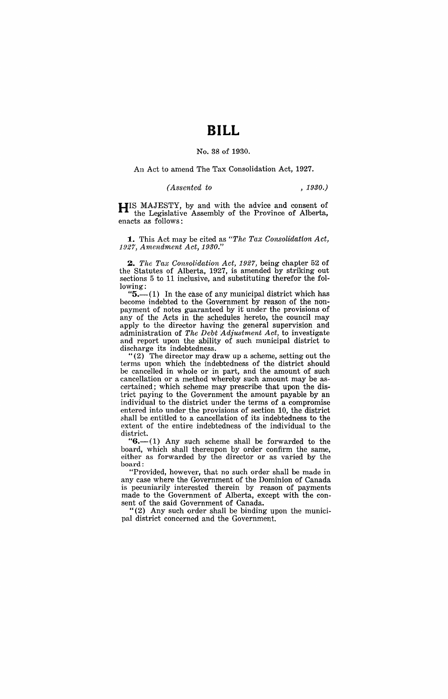# **BILL**

#### No. 38 of 1930.

An Act to amend The Tax Consolidation Act, 1927.

*(Assented to , 1930.)* 

**HIS** MAJESTY, by and with the advice and consent of the Legislative Assembly of the Province of Alberta, enacts as follows:

**1.** This Act may be cited as *"The Tax Consolidation Act, 1.927, Amendment Act, 1930."* 

~. *The Tax Consolidation Act,* 1927, being chapter 52 of the Statutes of Alberta, 1927, is amended by striking out sections 5 to 11 inclusive, and substituting therefor the following:

" $5$ —(1) In the case of any municipal district which has become indebted to the Government by reason of the nonpayment of notes guaranteed by it under the provisions of any of the Acts in the schedules hereto, the council may apply to the director having the general supervision and administration of *The Debt Adjustment Act,* to investigate and report upon the ability of such municipal district to discharge its indebtedness.

"(2) The director may draw up a scheme, setting out the terms upon which the indebtedness of the district should be cancelled in whole or in part, and the amount of such cancellation or a method whereby such amount may be ascertained; which scheme may prescribe that upon the district paying to the Government the amount payable by an individual to the district under the terms of a compromise entered into under the provisions of section 10, the district shall be entitled to a cancellation of its indebtedness to the extent of the entire indebtedness of the individual to the district.

" $6 - (1)$  Any such scheme shall be forwarded to the board, which shall thereupon by order confirm the same, either as forwarded by the director or as varied by the board:

"Provided, however, that no such order shall be made in any case where the Government of the Dominion of Canada is pecuniarily interested therein by reason of payments made to the Government of Alberta, except with the consent of the said Government of Canada.

"(2) Any such order shall be binding upon the municipal district concerned and the Government.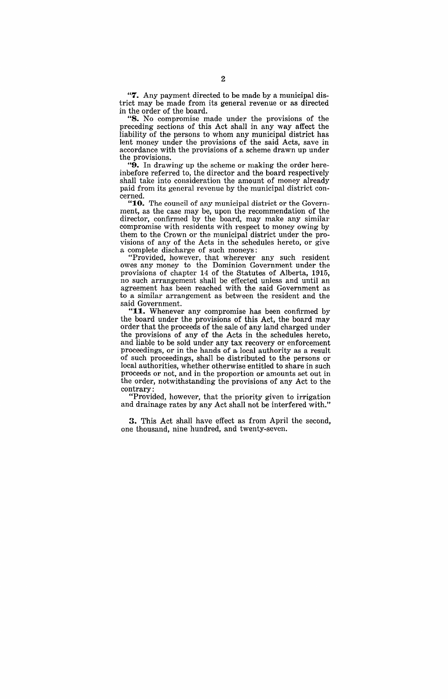"7. Any payment directed to be made by a municipal district may be made from its general revenue or as directed in the order of the board.

"8. No compromise made under the provisions of the preceding sections of this Act shall in any way affect the liability of the persons to whom any municipal district has lent money under the provisions of the said Acts, save in accordance with the provisions of a scheme drawn up under the provisions.

"9. In drawing up the scheme or making the order hereinbefore referred to, the director and the board respectively shall take into consideration the amount of money already paid from its general revenue by the municipal district eoncerned.

"10. The council of any municipal district or the Government, as the case may be, upon the recommendation of the director, confirmed by the board, may make any similar compromise with residents with respect to money owing by them to the Crown or the municipal district under the provisions of any of the Acts in the schedules hereto, or give a complete discharge of such moneys:

"Provided, how,ever, that wherever any such resident owes any money to the Dominion Government under the provisions of chapter 14 of the Statutes of Alberta, 1915, no such arrangement shall be effected unless and until an agreement has been reached with the said Government as to a similar arrangement as between the resident and the said Government.

"11. Whenever any compromise has been confirmed by the board under the provisions of this Act, the board may order that the proceeds of the sale of any land charged under the provisions of any of the Acts in the schedules hereto, and liable to be sold under any tax recovery or enforcement proceedings, or in the hands of a, local authority as a result of such proceedings, shall be distributed to the persons or local authorities, whether otherwise entitled to share in such proceeds or not, and in the proportion or amounts set out in the order, notwithstanding the provisions of any Act to the contrary:

"Provided, however, that the priority given to irrigation and drainage rates by any Act shall not be interfered with."

3. This Act shall have effect as from April the second, one thousand, nine hundred, and twenty-seven.